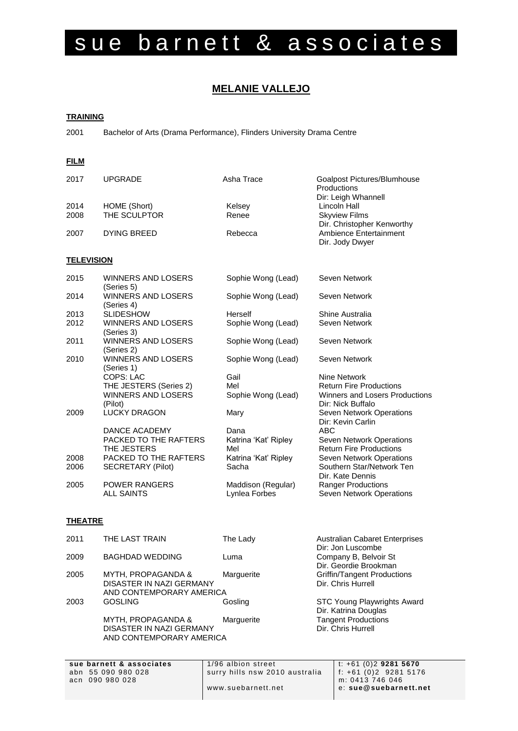# sue barnett & associates

# **MELANIE VALLEJO**

#### **TRAINING**

2001 Bachelor of Arts (Drama Performance), Flinders University Drama Centre

### **FILM**

| 2017              | <b>UPGRADE</b>                          | Asha Trace           | Goalpost Pictures/Blumhouse<br>Productions<br>Dir: Leigh Whannell |
|-------------------|-----------------------------------------|----------------------|-------------------------------------------------------------------|
| 2014              | HOME (Short)                            | Kelsey               | Lincoln Hall                                                      |
| 2008              | THE SCULPTOR                            | Renee                | <b>Skyview Films</b>                                              |
|                   |                                         |                      | Dir. Christopher Kenworthy                                        |
| 2007              | <b>DYING BREED</b>                      | Rebecca              | Ambience Entertainment                                            |
|                   |                                         |                      | Dir. Jody Dwyer                                                   |
| <b>TELEVISION</b> |                                         |                      |                                                                   |
|                   |                                         |                      |                                                                   |
| 2015              | <b>WINNERS AND LOSERS</b><br>(Series 5) | Sophie Wong (Lead)   | Seven Network                                                     |
| 2014              | <b>WINNERS AND LOSERS</b>               | Sophie Wong (Lead)   | Seven Network                                                     |
|                   | (Series 4)                              |                      |                                                                   |
| 2013              | <b>SLIDESHOW</b>                        | Herself              | Shine Australia                                                   |
| 2012              | <b>WINNERS AND LOSERS</b>               | Sophie Wong (Lead)   | Seven Network                                                     |
|                   | (Series 3)                              |                      |                                                                   |
| 2011              | <b>WINNERS AND LOSERS</b><br>(Series 2) | Sophie Wong (Lead)   | Seven Network                                                     |
| 2010              | <b>WINNERS AND LOSERS</b>               | Sophie Wong (Lead)   | Seven Network                                                     |
|                   | (Series 1)                              |                      |                                                                   |
|                   | <b>COPS: LAC</b>                        | Gail                 | Nine Network                                                      |
|                   | THE JESTERS (Series 2)                  | Mel                  | <b>Return Fire Productions</b>                                    |
|                   | WINNERS AND LOSERS                      | Sophie Wong (Lead)   | Winners and Losers Productions                                    |
|                   | (Pilot)                                 |                      | Dir: Nick Buffalo                                                 |
| 2009              | <b>LUCKY DRAGON</b>                     | Mary                 | Seven Network Operations                                          |
|                   |                                         |                      | Dir: Kevin Carlin                                                 |
|                   | DANCE ACADEMY                           | Dana                 | <b>ABC</b>                                                        |
|                   | PACKED TO THE RAFTERS                   | Katrina 'Kat' Ripley | Seven Network Operations                                          |
|                   | THE JESTERS                             | Mel                  | <b>Return Fire Productions</b>                                    |
| 2008              | PACKED TO THE RAFTERS                   | Katrina 'Kat' Ripley | Seven Network Operations                                          |
| 2006              | SECRETARY (Pilot)                       | Sacha                | Southern Star/Network Ten                                         |
| 2005              | <b>POWER RANGERS</b>                    | Maddison (Regular)   | Dir. Kate Dennis<br><b>Ranger Productions</b>                     |
|                   | <b>ALL SAINTS</b>                       | Lynlea Forbes        | Seven Network Operations                                          |
|                   |                                         |                      |                                                                   |

## **THEATRE**

| 2011 | THE LAST TRAIN                                                                        | The Lady   | <b>Australian Cabaret Enterprises</b><br>Dir: Jon Luscombe |
|------|---------------------------------------------------------------------------------------|------------|------------------------------------------------------------|
| 2009 | <b>BAGHDAD WEDDING</b>                                                                | Luma       | Company B, Belvoir St<br>Dir. Geordie Brookman             |
| 2005 | <b>MYTH, PROPAGANDA &amp;</b><br>DISASTER IN NAZI GERMANY<br>AND CONTEMPORARY AMERICA | Marguerite | Griffin/Tangent Productions<br>Dir. Chris Hurrell          |
| 2003 | <b>GOSLING</b>                                                                        | Gosling    | STC Young Playwrights Award<br>Dir. Katrina Douglas        |
|      | <b>MYTH, PROPAGANDA &amp;</b><br>DISASTER IN NAZI GERMANY<br>AND CONTEMPORARY AMERICA | Marguerite | <b>Tangent Productions</b><br>Dir. Chris Hurrell           |

abn 55 090 980 028 surry hills nsw 2010 australia f: +61 (0)2 9281  $\overline{m}$ : 0413 746 046 www.suebarnett.net e: **sue@suebarnett.net**